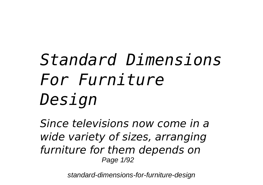# *Standard Dimensions For Furniture Design*

*Since televisions now come in a wide variety of sizes, arranging furniture for them depends on* Page 1/92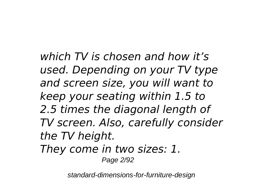*which TV is chosen and how it's used. Depending on your TV type and screen size, you will want to keep your seating within 1.5 to 2.5 times the diagonal length of TV screen. Also, carefully consider the TV height. They come in two sizes: 1.*

Page 2/92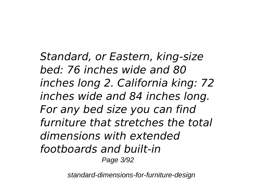*Standard, or Eastern, king-size bed: 76 inches wide and 80 inches long 2. California king: 72 inches wide and 84 inches long. For any bed size you can find furniture that stretches the total dimensions with extended footboards and built-in* Page 3/92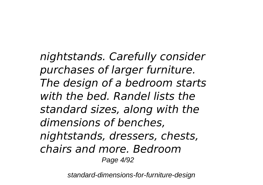*nightstands. Carefully consider purchases of larger furniture. The design of a bedroom starts with the bed. Randel lists the standard sizes, along with the dimensions of benches, nightstands, dressers, chests, chairs and more. Bedroom* Page 4/92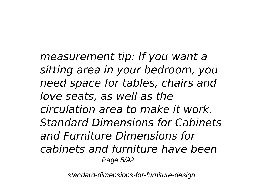*measurement tip: If you want a sitting area in your bedroom, you need space for tables, chairs and love seats, as well as the circulation area to make it work. Standard Dimensions for Cabinets and Furniture Dimensions for cabinets and furniture have been* Page 5/92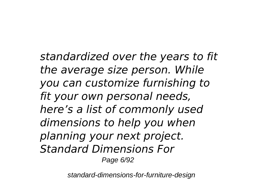*standardized over the years to fit the average size person. While you can customize furnishing to fit your own personal needs, here's a list of commonly used dimensions to help you when planning your next project. Standard Dimensions For* Page 6/92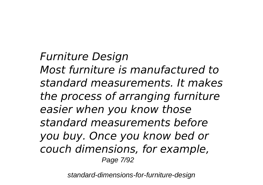*Furniture Design Most furniture is manufactured to standard measurements. It makes the process of arranging furniture easier when you know those standard measurements before you buy. Once you know bed or couch dimensions, for example,* Page 7/92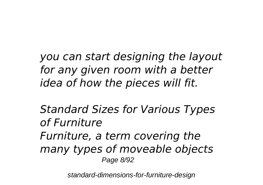*you can start designing the layout for any given room with a better idea of how the pieces will fit.*

*Standard Sizes for Various Types of Furniture Furniture, a term covering the many types of moveable objects* Page 8/92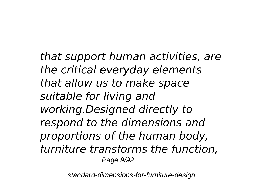*that support human activities, are the critical everyday elements that allow us to make space suitable for living and working.Designed directly to respond to the dimensions and proportions of the human body, furniture transforms the function,* Page 9/92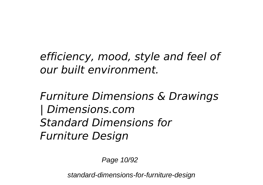*efficiency, mood, style and feel of our built environment.*

*Furniture Dimensions & Drawings | Dimensions.com Standard Dimensions for Furniture Design*

Page 10/92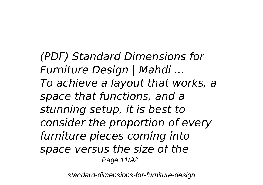*(PDF) Standard Dimensions for Furniture Design | Mahdi ... To achieve a layout that works, a space that functions, and a stunning setup, it is best to consider the proportion of every furniture pieces coming into space versus the size of the* Page 11/92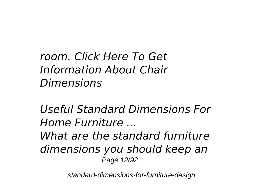*room. Click Here To Get Information About Chair Dimensions*

*Useful Standard Dimensions For Home Furniture ... What are the standard furniture dimensions you should keep an* Page 12/92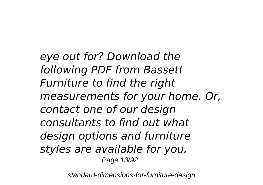*eye out for? Download the following PDF from Bassett Furniture to find the right measurements for your home. Or, contact one of our design consultants to find out what design options and furniture styles are available for you.* Page 13/92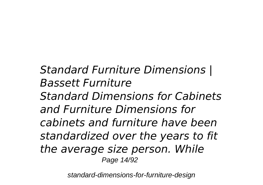*Standard Furniture Dimensions | Bassett Furniture Standard Dimensions for Cabinets and Furniture Dimensions for cabinets and furniture have been standardized over the years to fit the average size person. While* Page 14/92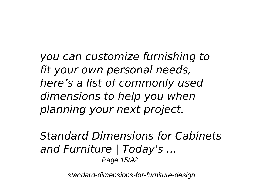*you can customize furnishing to fit your own personal needs, here's a list of commonly used dimensions to help you when planning your next project.*

*Standard Dimensions for Cabinets and Furniture | Today's ...* Page 15/92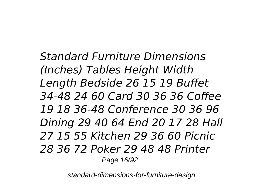*Standard Furniture Dimensions (Inches) Tables Height Width Length Bedside 26 15 19 Buffet 34-48 24 60 Card 30 36 36 Coffee 19 18 36-48 Conference 30 36 96 Dining 29 40 64 End 20 17 28 Hall 27 15 55 Kitchen 29 36 60 Picnic 28 36 72 Poker 29 48 48 Printer* Page 16/92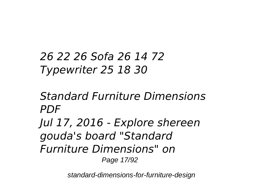## *26 22 26 Sofa 26 14 72 Typewriter 25 18 30*

*Standard Furniture Dimensions PDF Jul 17, 2016 - Explore shereen gouda's board "Standard Furniture Dimensions" on* Page 17/92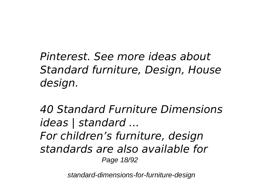*Pinterest. See more ideas about Standard furniture, Design, House design.*

*40 Standard Furniture Dimensions ideas | standard ... For children's furniture, design standards are also available for* Page 18/92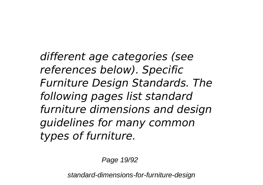*different age categories (see references below). Specific Furniture Design Standards. The following pages list standard furniture dimensions and design guidelines for many common types of furniture.*

Page 19/92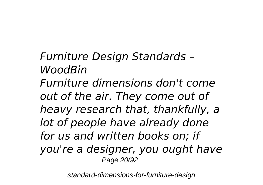*Furniture Design Standards – WoodBin Furniture dimensions don't come out of the air. They come out of heavy research that, thankfully, a lot of people have already done for us and written books on; if you're a designer, you ought have* Page 20/92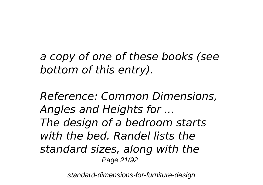*a copy of one of these books (see bottom of this entry).*

*Reference: Common Dimensions, Angles and Heights for ... The design of a bedroom starts with the bed. Randel lists the standard sizes, along with the* Page 21/92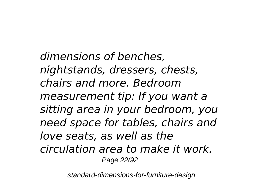*dimensions of benches, nightstands, dressers, chests, chairs and more. Bedroom measurement tip: If you want a sitting area in your bedroom, you need space for tables, chairs and love seats, as well as the circulation area to make it work.* Page 22/92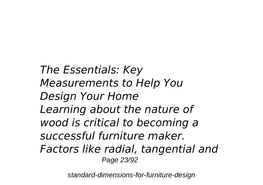*The Essentials: Key Measurements to Help You Design Your Home Learning about the nature of wood is critical to becoming a successful furniture maker. Factors like radial, tangential and* Page 23/92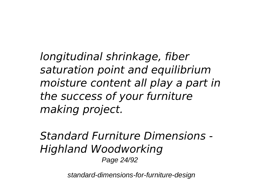*longitudinal shrinkage, fiber saturation point and equilibrium moisture content all play a part in the success of your furniture making project.*

*Standard Furniture Dimensions - Highland Woodworking* Page 24/92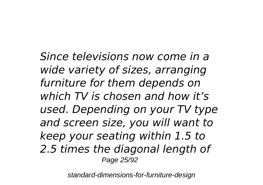*Since televisions now come in a wide variety of sizes, arranging furniture for them depends on which TV is chosen and how it's used. Depending on your TV type and screen size, you will want to keep your seating within 1.5 to 2.5 times the diagonal length of* Page 25/92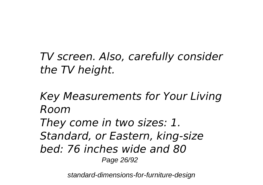*TV screen. Also, carefully consider the TV height.*

*Key Measurements for Your Living Room They come in two sizes: 1. Standard, or Eastern, king-size bed: 76 inches wide and 80* Page 26/92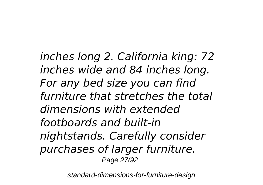*inches long 2. California king: 72 inches wide and 84 inches long. For any bed size you can find furniture that stretches the total dimensions with extended footboards and built-in nightstands. Carefully consider purchases of larger furniture.* Page 27/92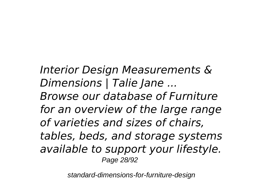*Interior Design Measurements & Dimensions | Talie Jane ... Browse our database of Furniture for an overview of the large range of varieties and sizes of chairs, tables, beds, and storage systems available to support your lifestyle.* Page 28/92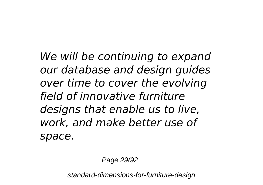*We will be continuing to expand our database and design guides over time to cover the evolving field of innovative furniture designs that enable us to live, work, and make better use of space.*

Page 29/92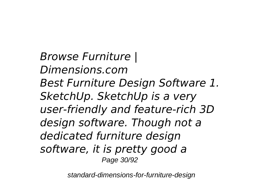*Browse Furniture | Dimensions.com Best Furniture Design Software 1. SketchUp. SketchUp is a very user-friendly and feature-rich 3D design software. Though not a dedicated furniture design software, it is pretty good a* Page 30/92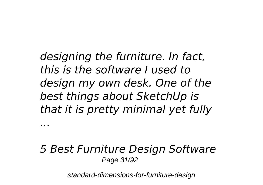*designing the furniture. In fact, this is the software I used to design my own desk. One of the best things about SketchUp is that it is pretty minimal yet fully*

*...*

#### *5 Best Furniture Design Software* Page 31/92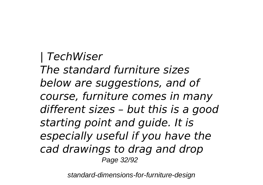*| TechWiser The standard furniture sizes below are suggestions, and of course, furniture comes in many different sizes – but this is a good starting point and guide. It is especially useful if you have the cad drawings to drag and drop* Page 32/92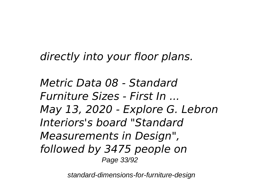*directly into your floor plans.*

*Metric Data 08 - Standard Furniture Sizes - First In ... May 13, 2020 - Explore G. Lebron Interiors's board "Standard Measurements in Design", followed by 3475 people on* Page 33/92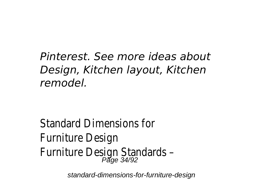## *Pinterest. See more ideas about Design, Kitchen layout, Kitchen remodel.*

Standard Dimensions for Furniture Design Furniture Design Standards – Page 34/92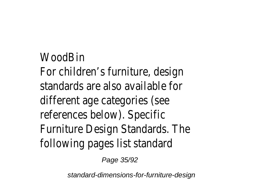### **WoodBin**

For children's furniture, design standards are also available for different age categories (see references below). Specific Furniture Design Standards. The following pages list standard

Page 35/92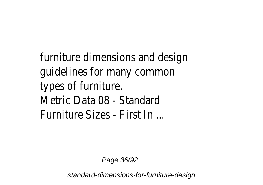furniture dimensions and design guidelines for many common types of furniture. Metric Data 08 - Standard Furniture Sizes - First In ...

Page 36/92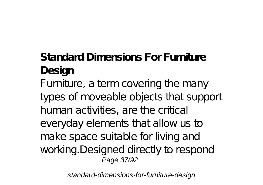## **Standard Dimensions For Furniture Design**

Furniture, a term covering the many types of moveable objects that support human activities, are the critical everyday elements that allow us to make space suitable for living and working. Designed directly to respond Page 37/92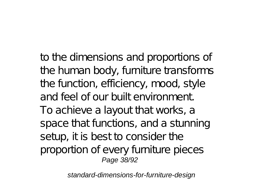to the dimensions and proportions of the human body, furniture transforms the function, efficiency, mood, style and feel of our built environment. To achieve a layout that works, a space that functions, and a stunning setup, it is best to consider the proportion of every furniture pieces Page 38/92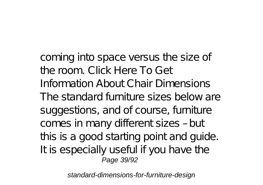coming into space versus the size of the room. Click Here To Get Information About Chair Dimensions The standard furniture sizes below are suggestions, and of course, furniture comes in many different sizes – but this is a good starting point and guide. It is especially useful if you have the Page 39/92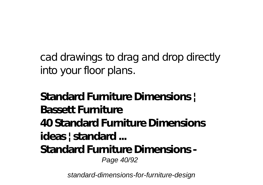cad drawings to drag and drop directly into your floor plans.

**Standard Furniture Dimensions | Bassett Furniture 40 Standard Furniture Dimensions ideas | standard ... Standard Furniture Dimensions -** Page 40/92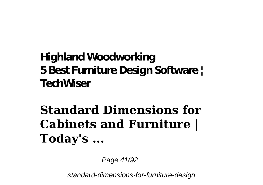#### **Highland Woodworking 5 Best Furniture Design Software | TechWiser**

# **Standard Dimensions for Cabinets and Furniture | Today's ...**

Page 41/92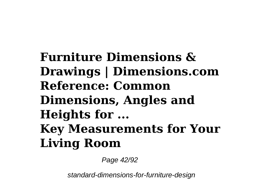**Furniture Dimensions & Drawings | Dimensions.com Reference: Common Dimensions, Angles and Heights for ... Key Measurements for Your Living Room**

Page 42/92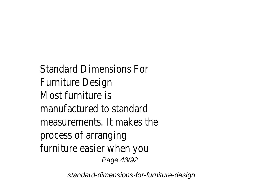Standard Dimensions For Furniture Design Most furniture is manufactured to standard measurements. It makes the process of arranging furniture easier when you Page 43/92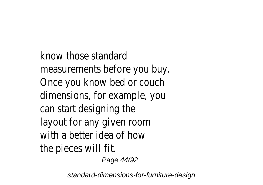know those standard measurements before you buy. Once you know bed or couch dimensions, for example, you can start designing the layout for any given room with a better idea of how the pieces will fit.

Page 44/92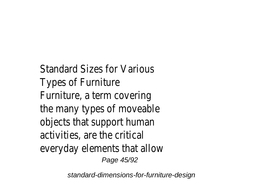Standard Sizes for Various Types of Furniture Furniture, a term covering the many types of moveable objects that support human activities, are the critical everyday elements that allow Page 45/92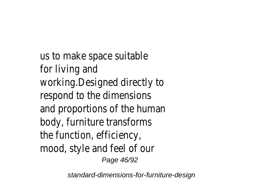us to make space suitable for living and working.Designed directly to respond to the dimensions and proportions of the human body, furniture transforms the function, efficiency, mood, style and feel of our Page 46/92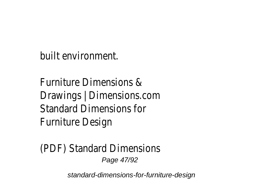built environment.

Furniture Dimensions & Drawings | Dimensions.com Standard Dimensions for Furniture Design

(PDF) Standard Dimensions Page 47/92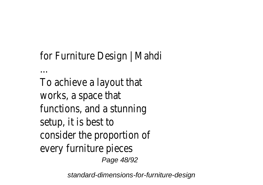### for Furniture Design | Mahdi

...

To achieve a layout that works, a space that functions, and a stunning setup, it is best to consider the proportion of every furniture pieces Page 48/92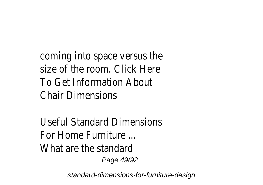coming into space versus the size of the room. Click Here To Get Information About Chair Dimensions

Useful Standard Dimensions For Home Furniture ... What are the standard Page 49/92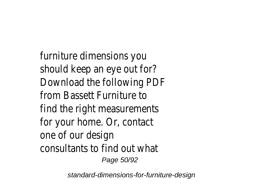furniture dimensions you should keep an eye out for? Download the following PDF from Bassett Furniture to find the right measurements for your home. Or, contact one of our design consultants to find out what Page 50/92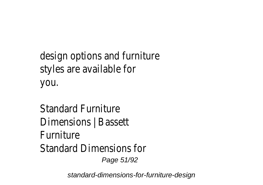design options and furniture styles are available for you.

Standard Furniture Dimensions | Bassett Furniture Standard Dimensions for Page 51/92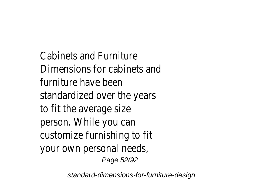Cabinets and Furniture Dimensions for cabinets and furniture have been standardized over the years to fit the average size person. While you can customize furnishing to fit your own personal needs, Page 52/92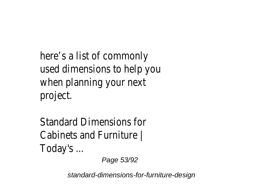here's a list of commonly used dimensions to help you when planning your next project.

Standard Dimensions for Cabinets and Furniture | Today's ...

Page 53/92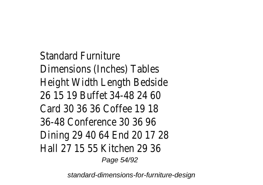Standard Furniture Dimensions (Inches) Tables Height Width Length Bedside 26 15 19 Buffet 34-48 24 60 Card 30 36 36 Coffee 19 18 36-48 Conference 30 36 96 Dining 29 40 64 End 20 17 28 Hall 27 15 55 Kitchen 29 36 Page 54/92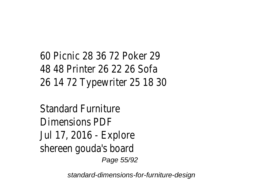### 60 Picnic 28 36 72 Poker 29 48 48 Printer 26 22 26 Sofa 26 14 72 Typewriter 25 18 30

#### Standard Furniture Dimensions PDF Jul 17, 2016 - Explore shereen gouda's board Page 55/92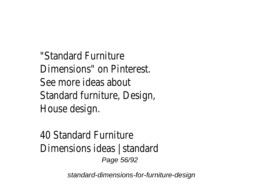"Standard Furniture Dimensions" on Pinterest. See more ideas about Standard furniture, Design, House design.

40 Standard Furniture Dimensions ideas | standard Page 56/92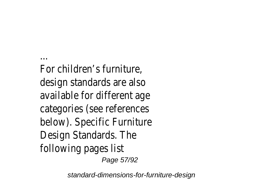... For children's furniture, design standards are also available for different age categories (see references below). Specific Furniture Design Standards. The following pages list Page 57/92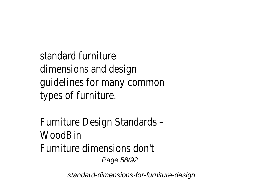standard furniture dimensions and design guidelines for many common types of furniture.

Furniture Design Standards – **WoodBin** Furniture dimensions don't Page 58/92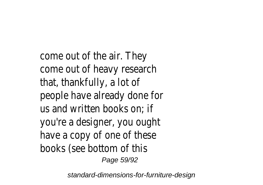come out of the air. They come out of heavy research that, thankfully, a lot of people have already done for us and written books on; if you're a designer, you ought have a copy of one of these books (see bottom of this Page 59/92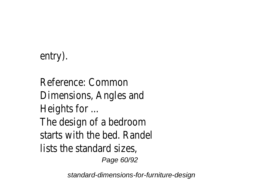### entry).

Reference: Common Dimensions, Angles and Heights for ... The design of a bedroom starts with the bed. Randel lists the standard sizes, Page 60/92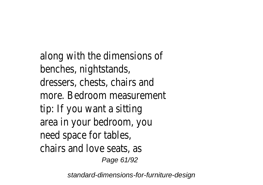along with the dimensions of benches, nightstands, dressers, chests, chairs and more. Bedroom measurement tip: If you want a sitting area in your bedroom, you need space for tables, chairs and love seats, as Page 61/92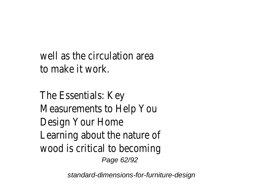well as the circulation area to make it work.

The Essentials: Key Measurements to Help You Design Your Home Learning about the nature of wood is critical to becoming Page 62/92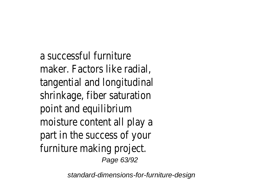a successful furniture maker. Factors like radial, tangential and longitudinal shrinkage, fiber saturation point and equilibrium moisture content all play a part in the success of your furniture making project. Page 63/92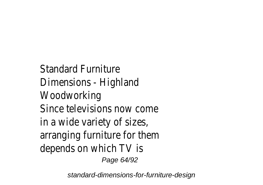Standard Furniture Dimensions - Highland Woodworking Since televisions now come in a wide variety of sizes, arranging furniture for them depends on which TV is Page 64/92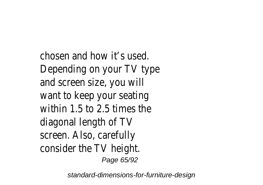chosen and how it's used. Depending on your TV type and screen size, you will want to keep your seating within 1.5 to 2.5 times the diagonal length of TV screen. Also, carefully consider the TV height. Page 65/92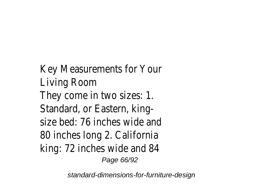Key Measurements for Your Living Room They come in two sizes: 1. Standard, or Eastern, kingsize bed: 76 inches wide and 80 inches long 2. California king: 72 inches wide and 84 Page 66/92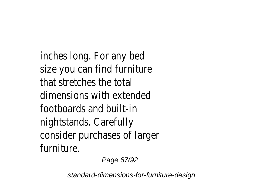inches long. For any bed size you can find furniture that stretches the total dimensions with extended footboards and built-in nightstands. Carefully consider purchases of larger furniture.

Page 67/92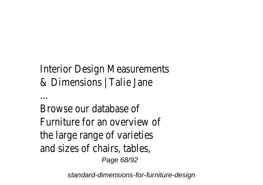#### Interior Design Measurements & Dimensions | Talie Jane

Browse our database of Furniture for an overview of the large range of varieties and sizes of chairs, tables, Page 68/92

...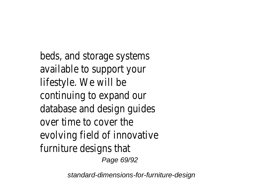beds, and storage systems available to support your lifestyle. We will be continuing to expand our database and design guides over time to cover the evolving field of innovative furniture designs that Page 69/92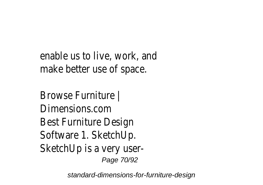enable us to live, work, and make better use of space.

Browse Furniture | Dimensions.com Best Furniture Design Software 1. SketchUp. SketchUp is a very user-Page 70/92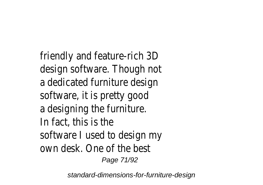friendly and feature-rich 3D design software. Though not a dedicated furniture design software, it is pretty good a designing the furniture. In fact, this is the software I used to design my own desk. One of the best Page 71/92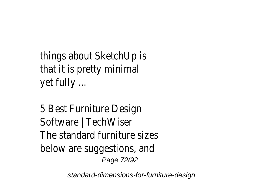```
things about SketchUp is
that it is pretty minimal
yet fully ...
```
5 Best Furniture Design Software | TechWiser The standard furniture sizes below are suggestions, and Page 72/92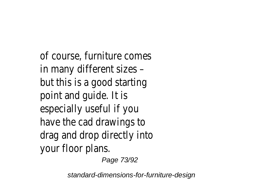of course, furniture comes in many different sizes – but this is a good starting point and guide. It is especially useful if you have the cad drawings to drag and drop directly into your floor plans.

Page 73/92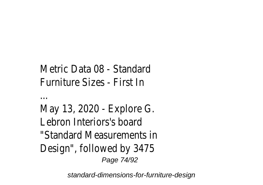```
Metric Data 08 - Standard
Furniture Sizes - First In
```

```
...
```

```
May 13, 2020 - Explore G.
Lebron Interiors's board
"Standard Measurements in
Design", followed by 3475
             Page 74/92
```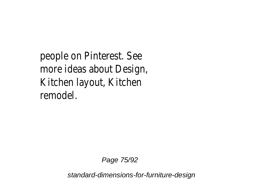people on Pinterest. See more ideas about Design, Kitchen layout, Kitchen remodel.

Page 75/92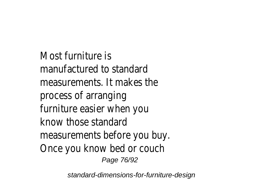Most furniture is manufactured to standard measurements. It makes the process of arranging furniture easier when you know those standard measurements before you buy. Once you know bed or couch Page 76/92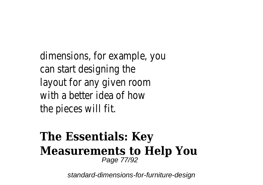dimensions, for example, you can start designing the layout for any given room with a better idea of how the pieces will fit.

#### **The Essentials: Key Measurements to Help You** Page 77/92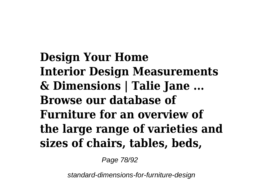**Design Your Home Interior Design Measurements & Dimensions | Talie Jane ... Browse our database of Furniture for an overview of the large range of varieties and sizes of chairs, tables, beds,**

Page 78/92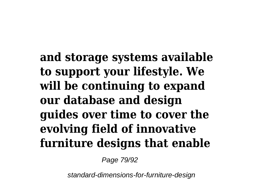**and storage systems available to support your lifestyle. We will be continuing to expand our database and design guides over time to cover the evolving field of innovative furniture designs that enable**

Page 79/92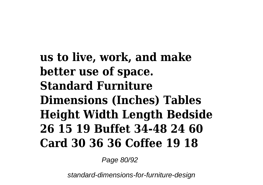**us to live, work, and make better use of space. Standard Furniture Dimensions (Inches) Tables Height Width Length Bedside 26 15 19 Buffet 34-48 24 60 Card 30 36 36 Coffee 19 18**

Page 80/92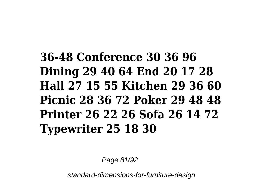## **36-48 Conference 30 36 96 Dining 29 40 64 End 20 17 28 Hall 27 15 55 Kitchen 29 36 60 Picnic 28 36 72 Poker 29 48 48 Printer 26 22 26 Sofa 26 14 72 Typewriter 25 18 30**

Page 81/92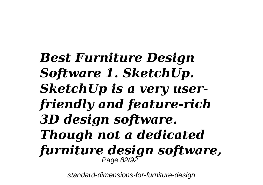*Best Furniture Design Software 1. SketchUp. SketchUp is a very userfriendly and feature-rich 3D design software. Though not a dedicated furniture design software,* Page 82/92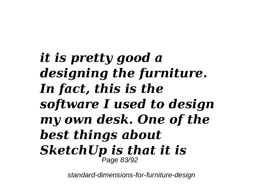*it is pretty good a designing the furniture. In fact, this is the software I used to design my own desk. One of the best things about SketchUp is that it is* Page 83/92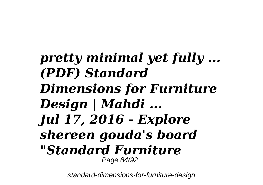## *pretty minimal yet fully ... (PDF) Standard Dimensions for Furniture Design | Mahdi ... Jul 17, 2016 - Explore shereen gouda's board "Standard Furniture* Page 84/92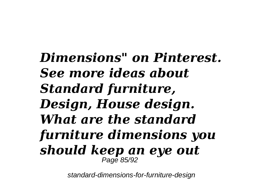*Dimensions" on Pinterest. See more ideas about Standard furniture, Design, House design. What are the standard furniture dimensions you should keep an eye out* Page 85/92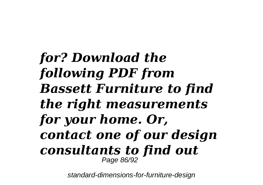*for? Download the following PDF from Bassett Furniture to find the right measurements for your home. Or, contact one of our design consultants to find out* Page 86/92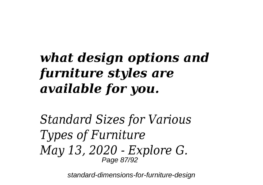# *what design options and furniture styles are available for you.*

*Standard Sizes for Various Types of Furniture May 13, 2020 - Explore G.* Page 87/92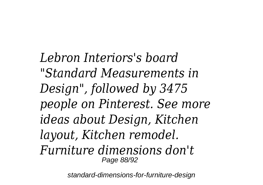*Lebron Interiors's board "Standard Measurements in Design", followed by 3475 people on Pinterest. See more ideas about Design, Kitchen layout, Kitchen remodel. Furniture dimensions don't* Page 88/92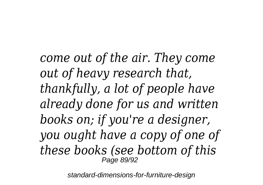*come out of the air. They come out of heavy research that, thankfully, a lot of people have already done for us and written books on; if you're a designer, you ought have a copy of one of these books (see bottom of this* Page 89/92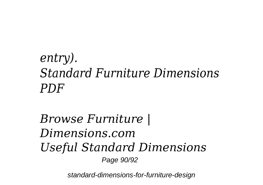## *entry). Standard Furniture Dimensions PDF*

### *Browse Furniture | Dimensions.com Useful Standard Dimensions* Page 90/92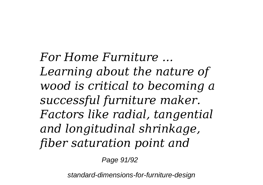*For Home Furniture ... Learning about the nature of wood is critical to becoming a successful furniture maker. Factors like radial, tangential and longitudinal shrinkage, fiber saturation point and*

Page 91/92